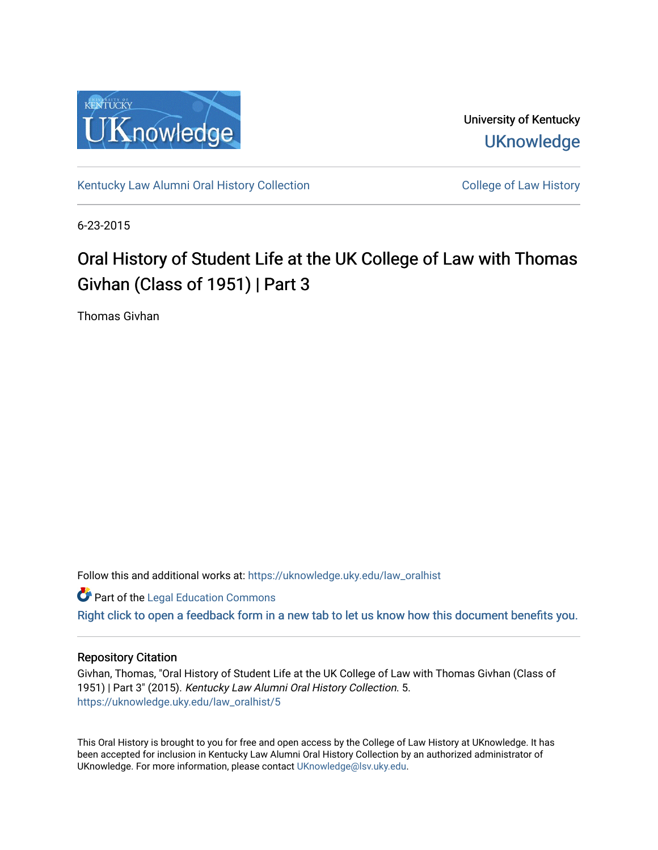

University of Kentucky **UKnowledge** 

[Kentucky Law Alumni Oral History Collection](https://uknowledge.uky.edu/law_oralhist) **Collection** College of Law History

6-23-2015

# Oral History of Student Life at the UK College of Law with Thomas Givhan (Class of 1951) | Part 3

Thomas Givhan

Follow this and additional works at: [https://uknowledge.uky.edu/law\\_oralhist](https://uknowledge.uky.edu/law_oralhist?utm_source=uknowledge.uky.edu%2Flaw_oralhist%2F5&utm_medium=PDF&utm_campaign=PDFCoverPages)

**Part of the Legal Education Commons** 

[Right click to open a feedback form in a new tab to let us know how this document benefits you.](https://uky.az1.qualtrics.com/jfe/form/SV_9mq8fx2GnONRfz7)

### Repository Citation

Givhan, Thomas, "Oral History of Student Life at the UK College of Law with Thomas Givhan (Class of 1951) | Part 3" (2015). Kentucky Law Alumni Oral History Collection. 5. [https://uknowledge.uky.edu/law\\_oralhist/5](https://uknowledge.uky.edu/law_oralhist/5?utm_source=uknowledge.uky.edu%2Flaw_oralhist%2F5&utm_medium=PDF&utm_campaign=PDFCoverPages)

This Oral History is brought to you for free and open access by the College of Law History at UKnowledge. It has been accepted for inclusion in Kentucky Law Alumni Oral History Collection by an authorized administrator of UKnowledge. For more information, please contact [UKnowledge@lsv.uky.edu](mailto:UKnowledge@lsv.uky.edu).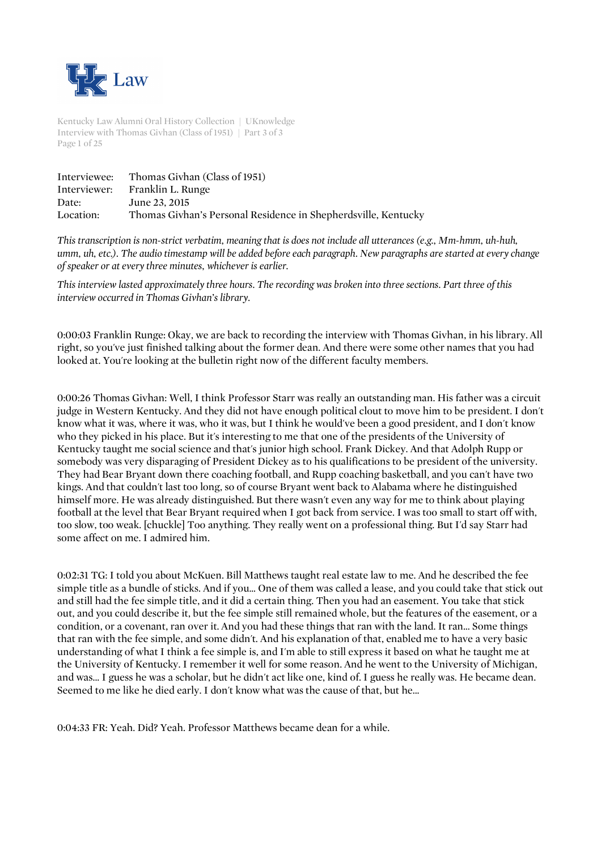

Kentucky Law Alumni Oral History Collection | UKnowledge Interview with Thomas Givhan (Class of 1951) | Part 3 of 3 Page 1 of 25

| Interviewee: | Thomas Givhan (Class of 1951)                                  |
|--------------|----------------------------------------------------------------|
|              | Interviewer: Franklin L. Runge                                 |
| Date:        | June 23, 2015                                                  |
| Location:    | Thomas Givhan's Personal Residence in Shepherdsville, Kentucky |

*This transcription is non-strict verbatim, meaning that is does not include all utterances (e.g., Mm-hmm, uh-huh, umm, uh, etc.). The audio timestamp will be added before each paragraph. New paragraphs are started at every change of speaker or at every three minutes, whichever is earlier.*

*This interview lasted approximately three hours. The recording was broken into three sections. Part three of this interview occurred in Thomas Givhan's library.* 

0:00:03 Franklin Runge: Okay, we are back to recording the interview with Thomas Givhan, in his library. All right, so you've just finished talking about the former dean. And there were some other names that you had looked at. You're looking at the bulletin right now of the different faculty members.

0:00:26 Thomas Givhan: Well, I think Professor Starr was really an outstanding man. His father was a circuit judge in Western Kentucky. And they did not have enough political clout to move him to be president. I don't know what it was, where it was, who it was, but I think he would've been a good president, and I don't know who they picked in his place. But it's interesting to me that one of the presidents of the University of Kentucky taught me social science and that's junior high school. Frank Dickey. And that Adolph Rupp or somebody was very disparaging of President Dickey as to his qualifications to be president of the university. They had Bear Bryant down there coaching football, and Rupp coaching basketball, and you can't have two kings. And that couldn't last too long, so of course Bryant went back to Alabama where he distinguished himself more. He was already distinguished. But there wasn't even any way for me to think about playing football at the level that Bear Bryant required when I got back from service. I was too small to start off with, too slow, too weak. [chuckle] Too anything. They really went on a professional thing. But I'd say Starr had some affect on me. I admired him.

0:02:31 TG: I told you about McKuen. Bill Matthews taught real estate law to me. And he described the fee simple title as a bundle of sticks. And if you... One of them was called a lease, and you could take that stick out and still had the fee simple title, and it did a certain thing. Then you had an easement. You take that stick out, and you could describe it, but the fee simple still remained whole, but the features of the easement, or a condition, or a covenant, ran over it. And you had these things that ran with the land. It ran... Some things that ran with the fee simple, and some didn't. And his explanation of that, enabled me to have a very basic understanding of what I think a fee simple is, and I'm able to still express it based on what he taught me at the University of Kentucky. I remember it well for some reason. And he went to the University of Michigan, and was... I guess he was a scholar, but he didn't act like one, kind of. I guess he really was. He became dean. Seemed to me like he died early. I don't know what was the cause of that, but he...

0:04:33 FR: Yeah. Did? Yeah. Professor Matthews became dean for a while.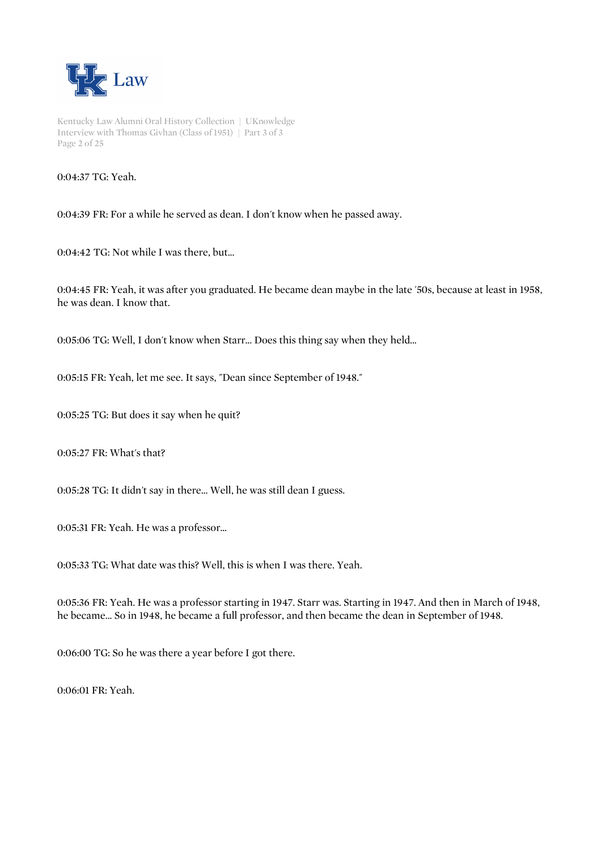

Kentucky Law Alumni Oral History Collection | UKnowledge Interview with Thomas Givhan (Class of 1951) | Part 3 of 3 Page 2 of 25

0:04:37 TG: Yeah.

0:04:39 FR: For a while he served as dean. I don't know when he passed away.

0:04:42 TG: Not while I was there, but...

0:04:45 FR: Yeah, it was after you graduated. He became dean maybe in the late '50s, because at least in 1958, he was dean. I know that.

0:05:06 TG: Well, I don't know when Starr... Does this thing say when they held...

0:05:15 FR: Yeah, let me see. It says, "Dean since September of 1948."

0:05:25 TG: But does it say when he quit?

0:05:27 FR: What's that?

0:05:28 TG: It didn't say in there... Well, he was still dean I guess.

0:05:31 FR: Yeah. He was a professor...

0:05:33 TG: What date was this? Well, this is when I was there. Yeah.

0:05:36 FR: Yeah. He was a professor starting in 1947. Starr was. Starting in 1947. And then in March of 1948, he became... So in 1948, he became a full professor, and then became the dean in September of 1948.

0:06:00 TG: So he was there a year before I got there.

0:06:01 FR: Yeah.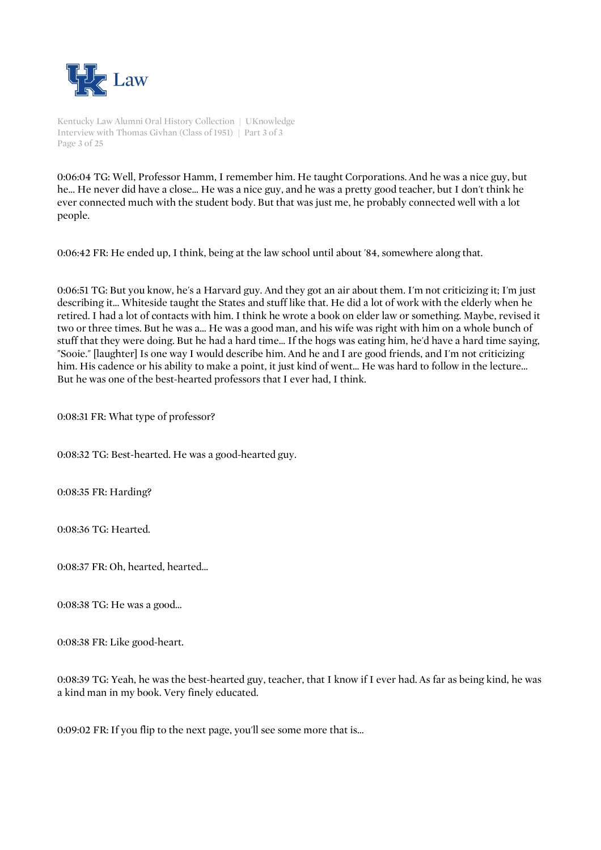

Kentucky Law Alumni Oral History Collection | UKnowledge Interview with Thomas Givhan (Class of 1951) | Part 3 of 3 Page 3 of 25

0:06:04 TG: Well, Professor Hamm, I remember him. He taught Corporations. And he was a nice guy, but he... He never did have a close... He was a nice guy, and he was a pretty good teacher, but I don't think he ever connected much with the student body. But that was just me, he probably connected well with a lot people.

0:06:42 FR: He ended up, I think, being at the law school until about '84, somewhere along that.

0:06:51 TG: But you know, he's a Harvard guy. And they got an air about them. I'm not criticizing it; I'm just describing it... Whiteside taught the States and stuff like that. He did a lot of work with the elderly when he retired. I had a lot of contacts with him. I think he wrote a book on elder law or something. Maybe, revised it two or three times. But he was a... He was a good man, and his wife was right with him on a whole bunch of stuff that they were doing. But he had a hard time... If the hogs was eating him, he'd have a hard time saying, "Sooie." [laughter] Is one way I would describe him. And he and I are good friends, and I'm not criticizing him. His cadence or his ability to make a point, it just kind of went... He was hard to follow in the lecture... But he was one of the best-hearted professors that I ever had, I think.

0:08:31 FR: What type of professor?

0:08:32 TG: Best-hearted. He was a good-hearted guy.

0:08:35 FR: Harding?

0:08:36 TG: Hearted.

0:08:37 FR: Oh, hearted, hearted...

0:08:38 TG: He was a good...

0:08:38 FR: Like good-heart.

0:08:39 TG: Yeah, he was the best-hearted guy, teacher, that I know if I ever had. As far as being kind, he was a kind man in my book. Very finely educated.

0:09:02 FR: If you flip to the next page, you'll see some more that is...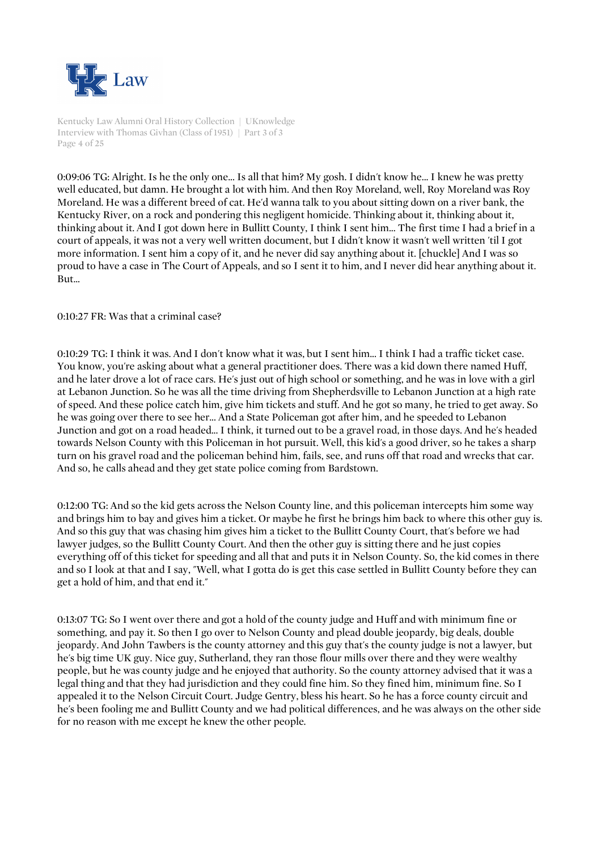

Kentucky Law Alumni Oral History Collection | UKnowledge Interview with Thomas Givhan (Class of 1951) | Part 3 of 3 Page 4 of 25

0:09:06 TG: Alright. Is he the only one... Is all that him? My gosh. I didn't know he... I knew he was pretty well educated, but damn. He brought a lot with him. And then Roy Moreland, well, Roy Moreland was Roy Moreland. He was a different breed of cat. He'd wanna talk to you about sitting down on a river bank, the Kentucky River, on a rock and pondering this negligent homicide. Thinking about it, thinking about it, thinking about it. And I got down here in Bullitt County, I think I sent him... The first time I had a brief in a court of appeals, it was not a very well written document, but I didn't know it wasn't well written 'til I got more information. I sent him a copy of it, and he never did say anything about it. [chuckle] And I was so proud to have a case in The Court of Appeals, and so I sent it to him, and I never did hear anything about it. But...

0:10:27 FR: Was that a criminal case?

0:10:29 TG: I think it was. And I don't know what it was, but I sent him... I think I had a traffic ticket case. You know, you're asking about what a general practitioner does. There was a kid down there named Huff, and he later drove a lot of race cars. He's just out of high school or something, and he was in love with a girl at Lebanon Junction. So he was all the time driving from Shepherdsville to Lebanon Junction at a high rate of speed. And these police catch him, give him tickets and stuff. And he got so many, he tried to get away. So he was going over there to see her... And a State Policeman got after him, and he speeded to Lebanon Junction and got on a road headed... I think, it turned out to be a gravel road, in those days. And he's headed towards Nelson County with this Policeman in hot pursuit. Well, this kid's a good driver, so he takes a sharp turn on his gravel road and the policeman behind him, fails, see, and runs off that road and wrecks that car. And so, he calls ahead and they get state police coming from Bardstown.

0:12:00 TG: And so the kid gets across the Nelson County line, and this policeman intercepts him some way and brings him to bay and gives him a ticket. Or maybe he first he brings him back to where this other guy is. And so this guy that was chasing him gives him a ticket to the Bullitt County Court, that's before we had lawyer judges, so the Bullitt County Court. And then the other guy is sitting there and he just copies everything off of this ticket for speeding and all that and puts it in Nelson County. So, the kid comes in there and so I look at that and I say, "Well, what I gotta do is get this case settled in Bullitt County before they can get a hold of him, and that end it."

0:13:07 TG: So I went over there and got a hold of the county judge and Huff and with minimum fine or something, and pay it. So then I go over to Nelson County and plead double jeopardy, big deals, double jeopardy. And John Tawbers is the county attorney and this guy that's the county judge is not a lawyer, but he's big time UK guy. Nice guy, Sutherland, they ran those flour mills over there and they were wealthy people, but he was county judge and he enjoyed that authority. So the county attorney advised that it was a legal thing and that they had jurisdiction and they could fine him. So they fined him, minimum fine. So I appealed it to the Nelson Circuit Court. Judge Gentry, bless his heart. So he has a force county circuit and he's been fooling me and Bullitt County and we had political differences, and he was always on the other side for no reason with me except he knew the other people.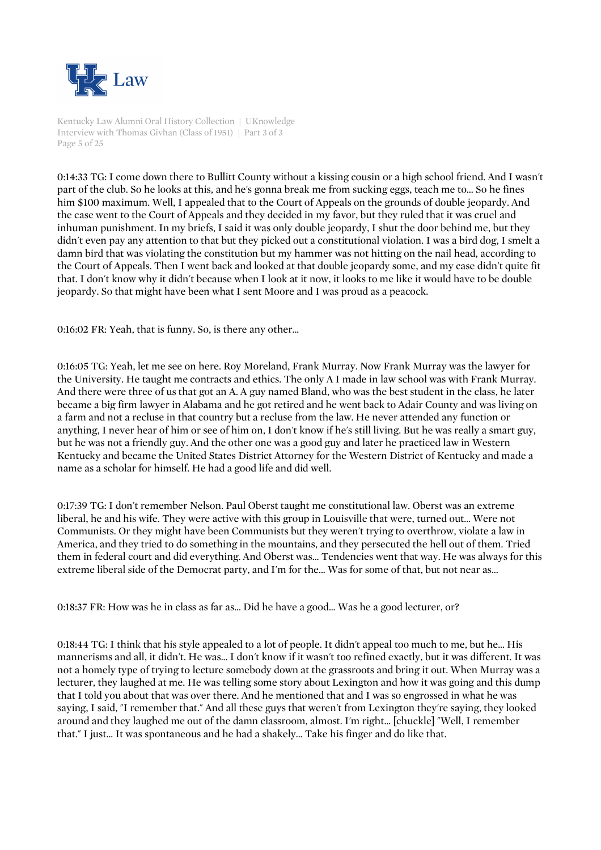

Kentucky Law Alumni Oral History Collection | UKnowledge Interview with Thomas Givhan (Class of 1951) | Part 3 of 3 Page 5 of 25

0:14:33 TG: I come down there to Bullitt County without a kissing cousin or a high school friend. And I wasn't part of the club. So he looks at this, and he's gonna break me from sucking eggs, teach me to... So he fines him \$100 maximum. Well, I appealed that to the Court of Appeals on the grounds of double jeopardy. And the case went to the Court of Appeals and they decided in my favor, but they ruled that it was cruel and inhuman punishment. In my briefs, I said it was only double jeopardy, I shut the door behind me, but they didn't even pay any attention to that but they picked out a constitutional violation. I was a bird dog, I smelt a damn bird that was violating the constitution but my hammer was not hitting on the nail head, according to the Court of Appeals. Then I went back and looked at that double jeopardy some, and my case didn't quite fit that. I don't know why it didn't because when I look at it now, it looks to me like it would have to be double jeopardy. So that might have been what I sent Moore and I was proud as a peacock.

0:16:02 FR: Yeah, that is funny. So, is there any other...

0:16:05 TG: Yeah, let me see on here. Roy Moreland, Frank Murray. Now Frank Murray was the lawyer for the University. He taught me contracts and ethics. The only A I made in law school was with Frank Murray. And there were three of us that got an A. A guy named Bland, who was the best student in the class, he later became a big firm lawyer in Alabama and he got retired and he went back to Adair County and was living on a farm and not a recluse in that country but a recluse from the law. He never attended any function or anything, I never hear of him or see of him on, I don't know if he's still living. But he was really a smart guy, but he was not a friendly guy. And the other one was a good guy and later he practiced law in Western Kentucky and became the United States District Attorney for the Western District of Kentucky and made a name as a scholar for himself. He had a good life and did well.

0:17:39 TG: I don't remember Nelson. Paul Oberst taught me constitutional law. Oberst was an extreme liberal, he and his wife. They were active with this group in Louisville that were, turned out... Were not Communists. Or they might have been Communists but they weren't trying to overthrow, violate a law in America, and they tried to do something in the mountains, and they persecuted the hell out of them. Tried them in federal court and did everything. And Oberst was... Tendencies went that way. He was always for this extreme liberal side of the Democrat party, and I'm for the... Was for some of that, but not near as...

0:18:37 FR: How was he in class as far as... Did he have a good... Was he a good lecturer, or?

0:18:44 TG: I think that his style appealed to a lot of people. It didn't appeal too much to me, but he... His mannerisms and all, it didn't. He was... I don't know if it wasn't too refined exactly, but it was different. It was not a homely type of trying to lecture somebody down at the grassroots and bring it out. When Murray was a lecturer, they laughed at me. He was telling some story about Lexington and how it was going and this dump that I told you about that was over there. And he mentioned that and I was so engrossed in what he was saying, I said, "I remember that." And all these guys that weren't from Lexington they're saying, they looked around and they laughed me out of the damn classroom, almost. I'm right... [chuckle] "Well, I remember that." I just... It was spontaneous and he had a shakely... Take his finger and do like that.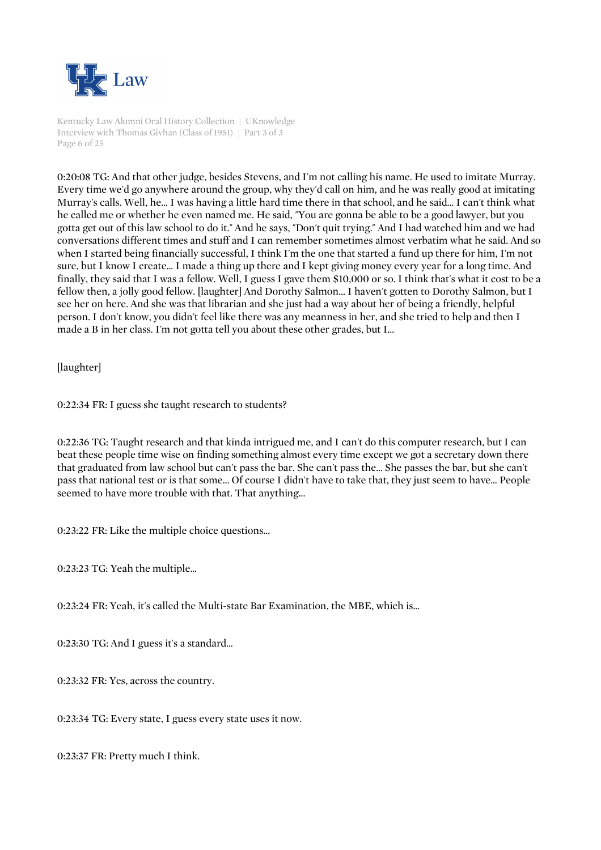

Kentucky Law Alumni Oral History Collection | UKnowledge Interview with Thomas Givhan (Class of 1951) | Part 3 of 3 Page 6 of 25

0:20:08 TG: And that other judge, besides Stevens, and I'm not calling his name. He used to imitate Murray. Every time we'd go anywhere around the group, why they'd call on him, and he was really good at imitating Murray's calls. Well, he... I was having a little hard time there in that school, and he said... I can't think what he called me or whether he even named me. He said, "You are gonna be able to be a good lawyer, but you gotta get out of this law school to do it." And he says, "Don't quit trying." And I had watched him and we had conversations different times and stuff and I can remember sometimes almost verbatim what he said. And so when I started being financially successful, I think I'm the one that started a fund up there for him, I'm not sure, but I know I create... I made a thing up there and I kept giving money every year for a long time. And finally, they said that I was a fellow. Well, I guess I gave them \$10,000 or so. I think that's what it cost to be a fellow then, a jolly good fellow. [laughter] And Dorothy Salmon... I haven't gotten to Dorothy Salmon, but I see her on here. And she was that librarian and she just had a way about her of being a friendly, helpful person. I don't know, you didn't feel like there was any meanness in her, and she tried to help and then I made a B in her class. I'm not gotta tell you about these other grades, but I...

[laughter]

0:22:34 FR: I guess she taught research to students?

0:22:36 TG: Taught research and that kinda intrigued me, and I can't do this computer research, but I can beat these people time wise on finding something almost every time except we got a secretary down there that graduated from law school but can't pass the bar. She can't pass the... She passes the bar, but she can't pass that national test or is that some... Of course I didn't have to take that, they just seem to have... People seemed to have more trouble with that. That anything...

0:23:22 FR: Like the multiple choice questions...

0:23:23 TG: Yeah the multiple...

0:23:24 FR: Yeah, it's called the Multi-state Bar Examination, the MBE, which is...

0:23:30 TG: And I guess it's a standard...

0:23:32 FR: Yes, across the country.

0:23:34 TG: Every state, I guess every state uses it now.

0:23:37 FR: Pretty much I think.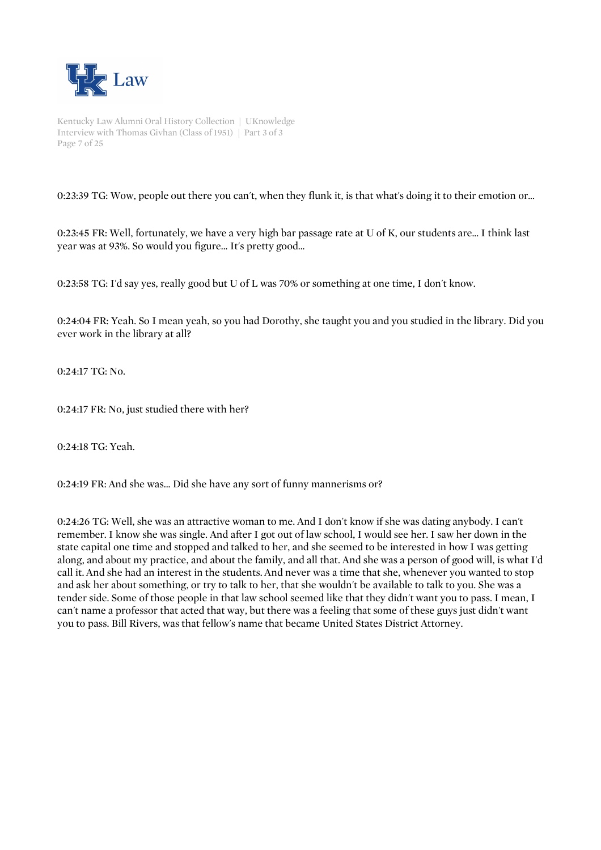

Kentucky Law Alumni Oral History Collection | UKnowledge Interview with Thomas Givhan (Class of 1951) | Part 3 of 3 Page 7 of 25

0:23:39 TG: Wow, people out there you can't, when they flunk it, is that what's doing it to their emotion or...

0:23:45 FR: Well, fortunately, we have a very high bar passage rate at U of K, our students are... I think last year was at 93%. So would you figure... It's pretty good...

0:23:58 TG: I'd say yes, really good but U of L was 70% or something at one time, I don't know.

0:24:04 FR: Yeah. So I mean yeah, so you had Dorothy, she taught you and you studied in the library. Did you ever work in the library at all?

0:24:17 TG: No.

0:24:17 FR: No, just studied there with her?

0:24:18 TG: Yeah.

0:24:19 FR: And she was... Did she have any sort of funny mannerisms or?

0:24:26 TG: Well, she was an attractive woman to me. And I don't know if she was dating anybody. I can't remember. I know she was single. And after I got out of law school, I would see her. I saw her down in the state capital one time and stopped and talked to her, and she seemed to be interested in how I was getting along, and about my practice, and about the family, and all that. And she was a person of good will, is what I'd call it. And she had an interest in the students. And never was a time that she, whenever you wanted to stop and ask her about something, or try to talk to her, that she wouldn't be available to talk to you. She was a tender side. Some of those people in that law school seemed like that they didn't want you to pass. I mean, I can't name a professor that acted that way, but there was a feeling that some of these guys just didn't want you to pass. Bill Rivers, was that fellow's name that became United States District Attorney.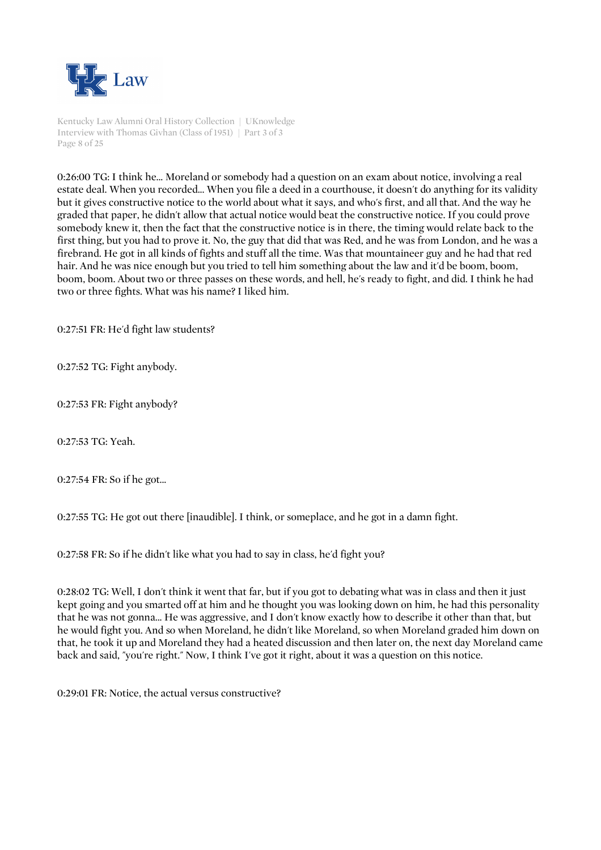

Kentucky Law Alumni Oral History Collection | UKnowledge Interview with Thomas Givhan (Class of 1951) | Part 3 of 3 Page 8 of 25

0:26:00 TG: I think he... Moreland or somebody had a question on an exam about notice, involving a real estate deal. When you recorded... When you file a deed in a courthouse, it doesn't do anything for its validity but it gives constructive notice to the world about what it says, and who's first, and all that. And the way he graded that paper, he didn't allow that actual notice would beat the constructive notice. If you could prove somebody knew it, then the fact that the constructive notice is in there, the timing would relate back to the first thing, but you had to prove it. No, the guy that did that was Red, and he was from London, and he was a firebrand. He got in all kinds of fights and stuff all the time. Was that mountaineer guy and he had that red hair. And he was nice enough but you tried to tell him something about the law and it'd be boom, boom, boom, boom. About two or three passes on these words, and hell, he's ready to fight, and did. I think he had two or three fights. What was his name? I liked him.

0:27:51 FR: He'd fight law students?

0:27:52 TG: Fight anybody.

0:27:53 FR: Fight anybody?

0:27:53 TG: Yeah.

0:27:54 FR: So if he got...

0:27:55 TG: He got out there [inaudible]. I think, or someplace, and he got in a damn fight.

0:27:58 FR: So if he didn't like what you had to say in class, he'd fight you?

0:28:02 TG: Well, I don't think it went that far, but if you got to debating what was in class and then it just kept going and you smarted off at him and he thought you was looking down on him, he had this personality that he was not gonna... He was aggressive, and I don't know exactly how to describe it other than that, but he would fight you. And so when Moreland, he didn't like Moreland, so when Moreland graded him down on that, he took it up and Moreland they had a heated discussion and then later on, the next day Moreland came back and said, "you're right." Now, I think I've got it right, about it was a question on this notice.

0:29:01 FR: Notice, the actual versus constructive?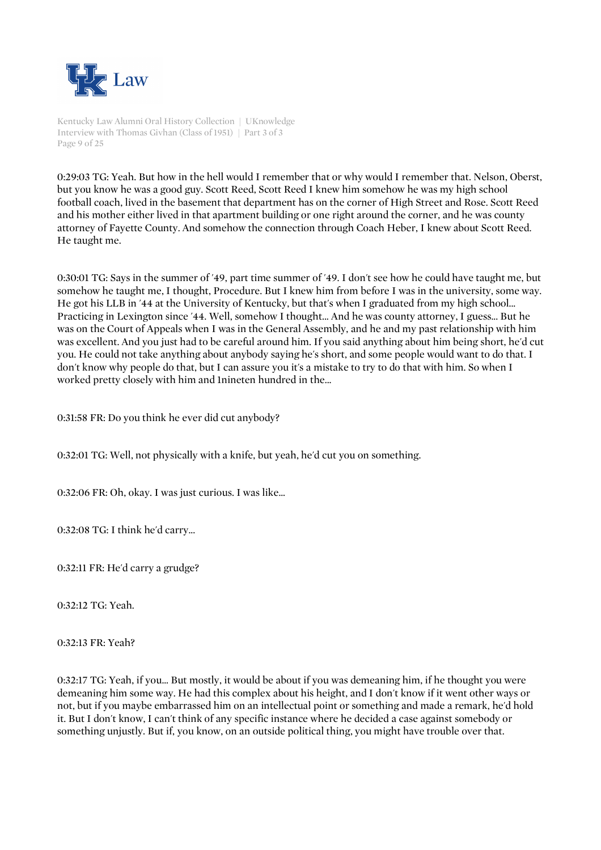

Kentucky Law Alumni Oral History Collection | UKnowledge Interview with Thomas Givhan (Class of 1951) | Part 3 of 3 Page 9 of 25

0:29:03 TG: Yeah. But how in the hell would I remember that or why would I remember that. Nelson, Oberst, but you know he was a good guy. Scott Reed, Scott Reed I knew him somehow he was my high school football coach, lived in the basement that department has on the corner of High Street and Rose. Scott Reed and his mother either lived in that apartment building or one right around the corner, and he was county attorney of Fayette County. And somehow the connection through Coach Heber, I knew about Scott Reed. He taught me.

0:30:01 TG: Says in the summer of '49, part time summer of '49. I don't see how he could have taught me, but somehow he taught me, I thought, Procedure. But I knew him from before I was in the university, some way. He got his LLB in '44 at the University of Kentucky, but that's when I graduated from my high school... Practicing in Lexington since '44. Well, somehow I thought... And he was county attorney, I guess... But he was on the Court of Appeals when I was in the General Assembly, and he and my past relationship with him was excellent. And you just had to be careful around him. If you said anything about him being short, he'd cut you. He could not take anything about anybody saying he's short, and some people would want to do that. I don't know why people do that, but I can assure you it's a mistake to try to do that with him. So when I worked pretty closely with him and 1nineten hundred in the...

0:31:58 FR: Do you think he ever did cut anybody?

0:32:01 TG: Well, not physically with a knife, but yeah, he'd cut you on something.

0:32:06 FR: Oh, okay. I was just curious. I was like...

0:32:08 TG: I think he'd carry...

0:32:11 FR: He'd carry a grudge?

0:32:12 TG: Yeah.

0:32:13 FR: Yeah?

0:32:17 TG: Yeah, if you... But mostly, it would be about if you was demeaning him, if he thought you were demeaning him some way. He had this complex about his height, and I don't know if it went other ways or not, but if you maybe embarrassed him on an intellectual point or something and made a remark, he'd hold it. But I don't know, I can't think of any specific instance where he decided a case against somebody or something unjustly. But if, you know, on an outside political thing, you might have trouble over that.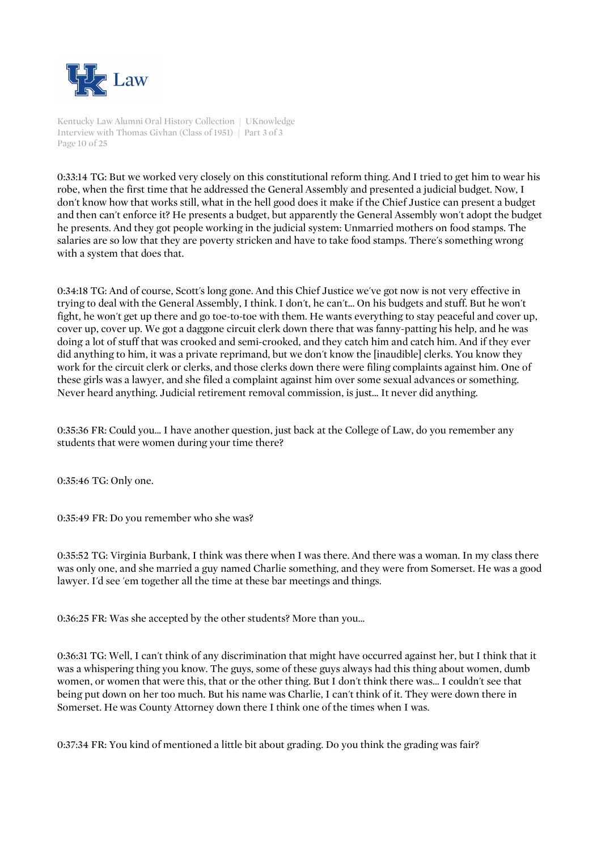

Kentucky Law Alumni Oral History Collection | UKnowledge Interview with Thomas Givhan (Class of 1951) | Part 3 of 3 Page 10 of 25

0:33:14 TG: But we worked very closely on this constitutional reform thing. And I tried to get him to wear his robe, when the first time that he addressed the General Assembly and presented a judicial budget. Now, I don't know how that works still, what in the hell good does it make if the Chief Justice can present a budget and then can't enforce it? He presents a budget, but apparently the General Assembly won't adopt the budget he presents. And they got people working in the judicial system: Unmarried mothers on food stamps. The salaries are so low that they are poverty stricken and have to take food stamps. There's something wrong with a system that does that.

0:34:18 TG: And of course, Scott's long gone. And this Chief Justice we've got now is not very effective in trying to deal with the General Assembly, I think. I don't, he can't... On his budgets and stuff. But he won't fight, he won't get up there and go toe-to-toe with them. He wants everything to stay peaceful and cover up, cover up, cover up. We got a daggone circuit clerk down there that was fanny-patting his help, and he was doing a lot of stuff that was crooked and semi-crooked, and they catch him and catch him. And if they ever did anything to him, it was a private reprimand, but we don't know the [inaudible] clerks. You know they work for the circuit clerk or clerks, and those clerks down there were filing complaints against him. One of these girls was a lawyer, and she filed a complaint against him over some sexual advances or something. Never heard anything. Judicial retirement removal commission, is just... It never did anything.

0:35:36 FR: Could you... I have another question, just back at the College of Law, do you remember any students that were women during your time there?

0:35:46 TG: Only one.

0:35:49 FR: Do you remember who she was?

0:35:52 TG: Virginia Burbank, I think was there when I was there. And there was a woman. In my class there was only one, and she married a guy named Charlie something, and they were from Somerset. He was a good lawyer. I'd see 'em together all the time at these bar meetings and things.

0:36:25 FR: Was she accepted by the other students? More than you...

0:36:31 TG: Well, I can't think of any discrimination that might have occurred against her, but I think that it was a whispering thing you know. The guys, some of these guys always had this thing about women, dumb women, or women that were this, that or the other thing. But I don't think there was... I couldn't see that being put down on her too much. But his name was Charlie, I can't think of it. They were down there in Somerset. He was County Attorney down there I think one of the times when I was.

0:37:34 FR: You kind of mentioned a little bit about grading. Do you think the grading was fair?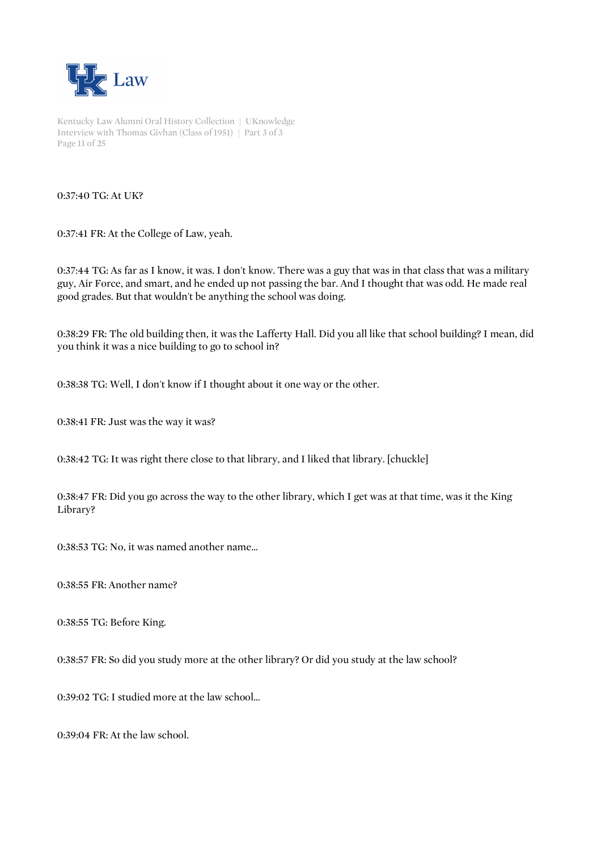

Kentucky Law Alumni Oral History Collection | UKnowledge Interview with Thomas Givhan (Class of 1951) | Part 3 of 3 Page 11 of 25

#### 0:37:40 TG: At UK?

0:37:41 FR: At the College of Law, yeah.

0:37:44 TG: As far as I know, it was. I don't know. There was a guy that was in that class that was a military guy, Air Force, and smart, and he ended up not passing the bar. And I thought that was odd. He made real good grades. But that wouldn't be anything the school was doing.

0:38:29 FR: The old building then, it was the Lafferty Hall. Did you all like that school building? I mean, did you think it was a nice building to go to school in?

0:38:38 TG: Well, I don't know if I thought about it one way or the other.

0:38:41 FR: Just was the way it was?

0:38:42 TG: It was right there close to that library, and I liked that library. [chuckle]

0:38:47 FR: Did you go across the way to the other library, which I get was at that time, was it the King Library?

0:38:53 TG: No, it was named another name...

0:38:55 FR: Another name?

0:38:55 TG: Before King.

0:38:57 FR: So did you study more at the other library? Or did you study at the law school?

0:39:02 TG: I studied more at the law school...

0:39:04 FR: At the law school.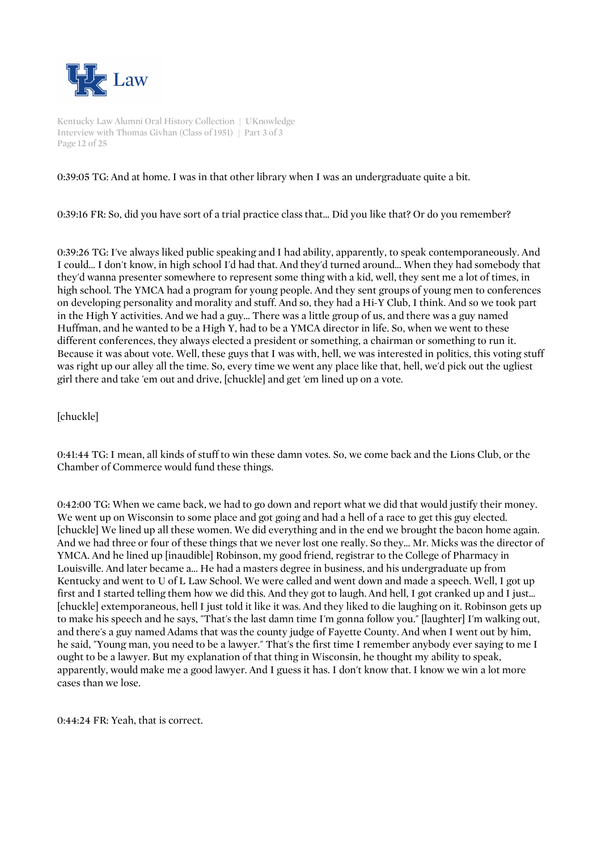

Kentucky Law Alumni Oral History Collection | UKnowledge Interview with Thomas Givhan (Class of 1951) | Part 3 of 3 Page 12 of 25

## 0:39:05 TG: And at home. I was in that other library when I was an undergraduate quite a bit.

0:39:16 FR: So, did you have sort of a trial practice class that... Did you like that? Or do you remember?

0:39:26 TG: I've always liked public speaking and I had ability, apparently, to speak contemporaneously. And I could... I don't know, in high school I'd had that. And they'd turned around... When they had somebody that they'd wanna presenter somewhere to represent some thing with a kid, well, they sent me a lot of times, in high school. The YMCA had a program for young people. And they sent groups of young men to conferences on developing personality and morality and stuff. And so, they had a Hi-Y Club, I think. And so we took part in the High Y activities. And we had a guy... There was a little group of us, and there was a guy named Huffman, and he wanted to be a High Y, had to be a YMCA director in life. So, when we went to these different conferences, they always elected a president or something, a chairman or something to run it. Because it was about vote. Well, these guys that I was with, hell, we was interested in politics, this voting stuff was right up our alley all the time. So, every time we went any place like that, hell, we'd pick out the ugliest girl there and take 'em out and drive, [chuckle] and get 'em lined up on a vote.

[chuckle]

0:41:44 TG: I mean, all kinds of stuff to win these damn votes. So, we come back and the Lions Club, or the Chamber of Commerce would fund these things.

0:42:00 TG: When we came back, we had to go down and report what we did that would justify their money. We went up on Wisconsin to some place and got going and had a hell of a race to get this guy elected. [chuckle] We lined up all these women. We did everything and in the end we brought the bacon home again. And we had three or four of these things that we never lost one really. So they... Mr. Micks was the director of YMCA. And he lined up [inaudible] Robinson, my good friend, registrar to the College of Pharmacy in Louisville. And later became a... He had a masters degree in business, and his undergraduate up from Kentucky and went to U of L Law School. We were called and went down and made a speech. Well, I got up first and I started telling them how we did this. And they got to laugh. And hell, I got cranked up and I just... [chuckle] extemporaneous, hell I just told it like it was. And they liked to die laughing on it. Robinson gets up to make his speech and he says, "That's the last damn time I'm gonna follow you." [laughter] I'm walking out, and there's a guy named Adams that was the county judge of Fayette County. And when I went out by him, he said, "Young man, you need to be a lawyer." That's the first time I remember anybody ever saying to me I ought to be a lawyer. But my explanation of that thing in Wisconsin, he thought my ability to speak, apparently, would make me a good lawyer. And I guess it has. I don't know that. I know we win a lot more cases than we lose.

0:44:24 FR: Yeah, that is correct.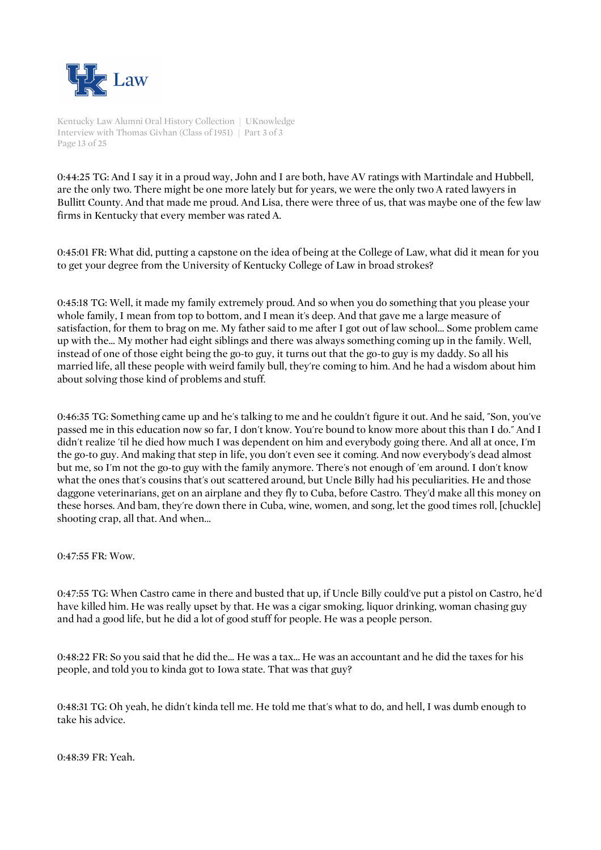

Kentucky Law Alumni Oral History Collection | UKnowledge Interview with Thomas Givhan (Class of 1951) | Part 3 of 3 Page 13 of 25

0:44:25 TG: And I say it in a proud way, John and I are both, have AV ratings with Martindale and Hubbell, are the only two. There might be one more lately but for years, we were the only two A rated lawyers in Bullitt County. And that made me proud. And Lisa, there were three of us, that was maybe one of the few law firms in Kentucky that every member was rated A.

0:45:01 FR: What did, putting a capstone on the idea of being at the College of Law, what did it mean for you to get your degree from the University of Kentucky College of Law in broad strokes?

0:45:18 TG: Well, it made my family extremely proud. And so when you do something that you please your whole family, I mean from top to bottom, and I mean it's deep. And that gave me a large measure of satisfaction, for them to brag on me. My father said to me after I got out of law school... Some problem came up with the... My mother had eight siblings and there was always something coming up in the family. Well, instead of one of those eight being the go-to guy, it turns out that the go-to guy is my daddy. So all his married life, all these people with weird family bull, they're coming to him. And he had a wisdom about him about solving those kind of problems and stuff.

0:46:35 TG: Something came up and he's talking to me and he couldn't figure it out. And he said, "Son, you've passed me in this education now so far, I don't know. You're bound to know more about this than I do." And I didn't realize 'til he died how much I was dependent on him and everybody going there. And all at once, I'm the go-to guy. And making that step in life, you don't even see it coming. And now everybody's dead almost but me, so I'm not the go-to guy with the family anymore. There's not enough of 'em around. I don't know what the ones that's cousins that's out scattered around, but Uncle Billy had his peculiarities. He and those daggone veterinarians, get on an airplane and they fly to Cuba, before Castro. They'd make all this money on these horses. And bam, they're down there in Cuba, wine, women, and song, let the good times roll, [chuckle] shooting crap, all that. And when...

0:47:55 FR: Wow.

0:47:55 TG: When Castro came in there and busted that up, if Uncle Billy could've put a pistol on Castro, he'd have killed him. He was really upset by that. He was a cigar smoking, liquor drinking, woman chasing guy and had a good life, but he did a lot of good stuff for people. He was a people person.

0:48:22 FR: So you said that he did the... He was a tax... He was an accountant and he did the taxes for his people, and told you to kinda got to Iowa state. That was that guy?

0:48:31 TG: Oh yeah, he didn't kinda tell me. He told me that's what to do, and hell, I was dumb enough to take his advice.

0:48:39 FR: Yeah.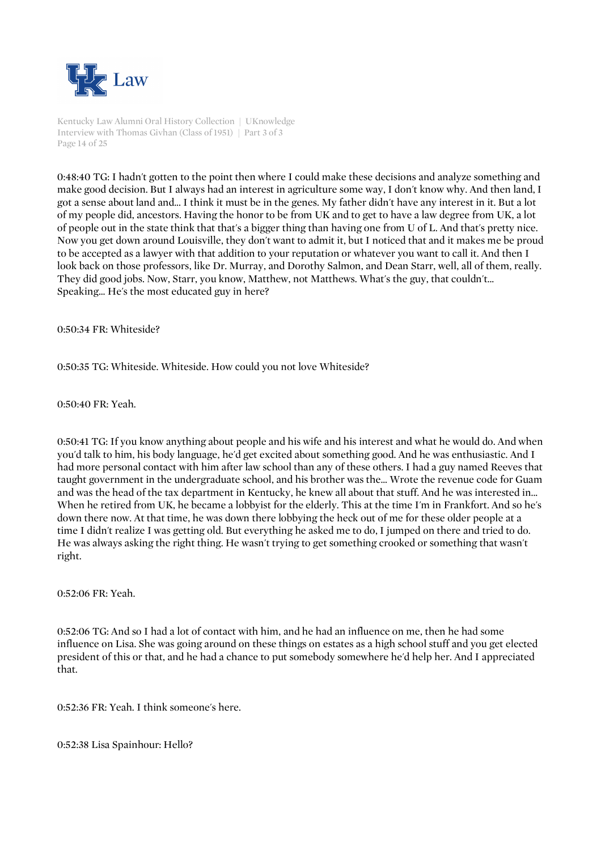

Kentucky Law Alumni Oral History Collection | UKnowledge Interview with Thomas Givhan (Class of 1951) | Part 3 of 3 Page 14 of 25

0:48:40 TG: I hadn't gotten to the point then where I could make these decisions and analyze something and make good decision. But I always had an interest in agriculture some way, I don't know why. And then land, I got a sense about land and... I think it must be in the genes. My father didn't have any interest in it. But a lot of my people did, ancestors. Having the honor to be from UK and to get to have a law degree from UK, a lot of people out in the state think that that's a bigger thing than having one from U of L. And that's pretty nice. Now you get down around Louisville, they don't want to admit it, but I noticed that and it makes me be proud to be accepted as a lawyer with that addition to your reputation or whatever you want to call it. And then I look back on those professors, like Dr. Murray, and Dorothy Salmon, and Dean Starr, well, all of them, really. They did good jobs. Now, Starr, you know, Matthew, not Matthews. What's the guy, that couldn't... Speaking... He's the most educated guy in here?

0:50:34 FR: Whiteside?

0:50:35 TG: Whiteside. Whiteside. How could you not love Whiteside?

0:50:40 FR: Yeah.

0:50:41 TG: If you know anything about people and his wife and his interest and what he would do. And when you'd talk to him, his body language, he'd get excited about something good. And he was enthusiastic. And I had more personal contact with him after law school than any of these others. I had a guy named Reeves that taught government in the undergraduate school, and his brother was the... Wrote the revenue code for Guam and was the head of the tax department in Kentucky, he knew all about that stuff. And he was interested in... When he retired from UK, he became a lobbyist for the elderly. This at the time I'm in Frankfort. And so he's down there now. At that time, he was down there lobbying the heck out of me for these older people at a time I didn't realize I was getting old. But everything he asked me to do, I jumped on there and tried to do. He was always asking the right thing. He wasn't trying to get something crooked or something that wasn't right.

0:52:06 FR: Yeah.

0:52:06 TG: And so I had a lot of contact with him, and he had an influence on me, then he had some influence on Lisa. She was going around on these things on estates as a high school stuff and you get elected president of this or that, and he had a chance to put somebody somewhere he'd help her. And I appreciated that.

0:52:36 FR: Yeah. I think someone's here.

0:52:38 Lisa Spainhour: Hello?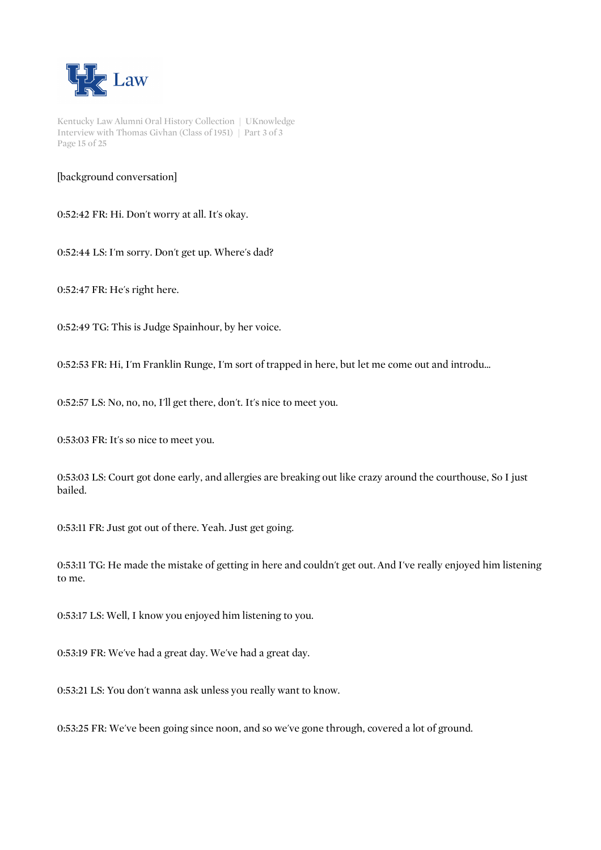

Kentucky Law Alumni Oral History Collection | UKnowledge Interview with Thomas Givhan (Class of 1951) | Part 3 of 3 Page 15 of 25

[background conversation]

0:52:42 FR: Hi. Don't worry at all. It's okay.

0:52:44 LS: I'm sorry. Don't get up. Where's dad?

0:52:47 FR: He's right here.

0:52:49 TG: This is Judge Spainhour, by her voice.

0:52:53 FR: Hi, I'm Franklin Runge, I'm sort of trapped in here, but let me come out and introdu...

0:52:57 LS: No, no, no, I'll get there, don't. It's nice to meet you.

0:53:03 FR: It's so nice to meet you.

0:53:03 LS: Court got done early, and allergies are breaking out like crazy around the courthouse, So I just bailed.

0:53:11 FR: Just got out of there. Yeah. Just get going.

0:53:11 TG: He made the mistake of getting in here and couldn't get out. And I've really enjoyed him listening to me.

0:53:17 LS: Well, I know you enjoyed him listening to you.

0:53:19 FR: We've had a great day. We've had a great day.

0:53:21 LS: You don't wanna ask unless you really want to know.

0:53:25 FR: We've been going since noon, and so we've gone through, covered a lot of ground.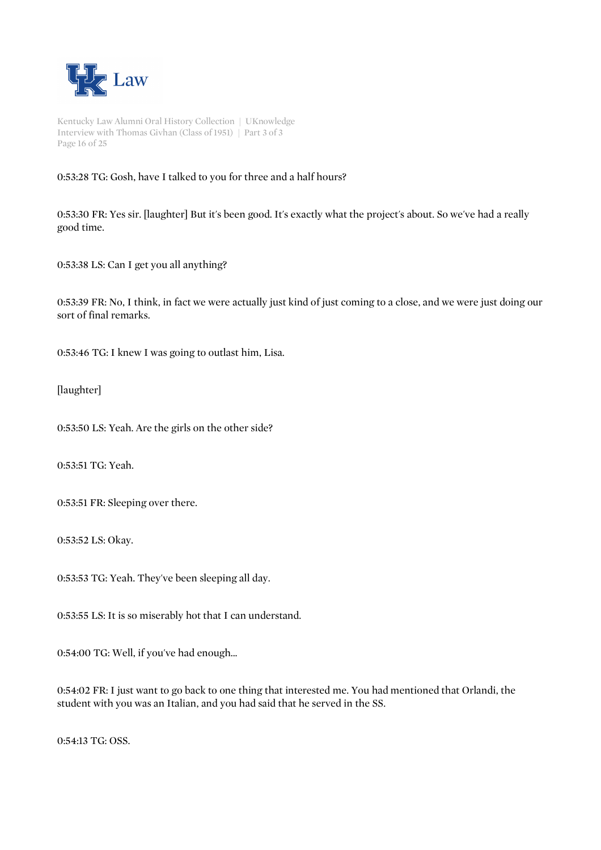

Kentucky Law Alumni Oral History Collection | UKnowledge Interview with Thomas Givhan (Class of 1951) | Part 3 of 3 Page 16 of 25

# 0:53:28 TG: Gosh, have I talked to you for three and a half hours?

0:53:30 FR: Yes sir. [laughter] But it's been good. It's exactly what the project's about. So we've had a really good time.

0:53:38 LS: Can I get you all anything?

0:53:39 FR: No, I think, in fact we were actually just kind of just coming to a close, and we were just doing our sort of final remarks.

0:53:46 TG: I knew I was going to outlast him, Lisa.

[laughter]

0:53:50 LS: Yeah. Are the girls on the other side?

0:53:51 TG: Yeah.

0:53:51 FR: Sleeping over there.

0:53:52 LS: Okay.

0:53:53 TG: Yeah. They've been sleeping all day.

0:53:55 LS: It is so miserably hot that I can understand.

0:54:00 TG: Well, if you've had enough...

0:54:02 FR: I just want to go back to one thing that interested me. You had mentioned that Orlandi, the student with you was an Italian, and you had said that he served in the SS.

0:54:13 TG: OSS.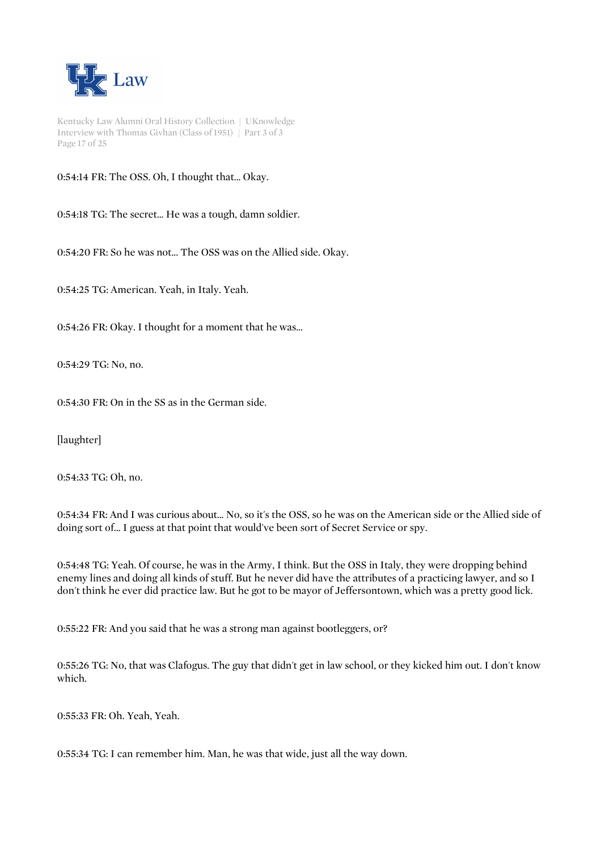

Kentucky Law Alumni Oral History Collection | UKnowledge Interview with Thomas Givhan (Class of 1951) | Part 3 of 3 Page 17 of 25

0:54:14 FR: The OSS. Oh, I thought that... Okay.

0:54:18 TG: The secret... He was a tough, damn soldier.

0:54:20 FR: So he was not... The OSS was on the Allied side. Okay.

0:54:25 TG: American. Yeah, in Italy. Yeah.

0:54:26 FR: Okay. I thought for a moment that he was...

0:54:29 TG: No, no.

0:54:30 FR: On in the SS as in the German side.

[laughter]

0:54:33 TG: Oh, no.

0:54:34 FR: And I was curious about... No, so it's the OSS, so he was on the American side or the Allied side of doing sort of... I guess at that point that would've been sort of Secret Service or spy.

0:54:48 TG: Yeah. Of course, he was in the Army, I think. But the OSS in Italy, they were dropping behind enemy lines and doing all kinds of stuff. But he never did have the attributes of a practicing lawyer, and so I don't think he ever did practice law. But he got to be mayor of Jeffersontown, which was a pretty good lick.

0:55:22 FR: And you said that he was a strong man against bootleggers, or?

0:55:26 TG: No, that was Clafogus. The guy that didn't get in law school, or they kicked him out. I don't know which.

0:55:33 FR: Oh. Yeah, Yeah.

0:55:34 TG: I can remember him. Man, he was that wide, just all the way down.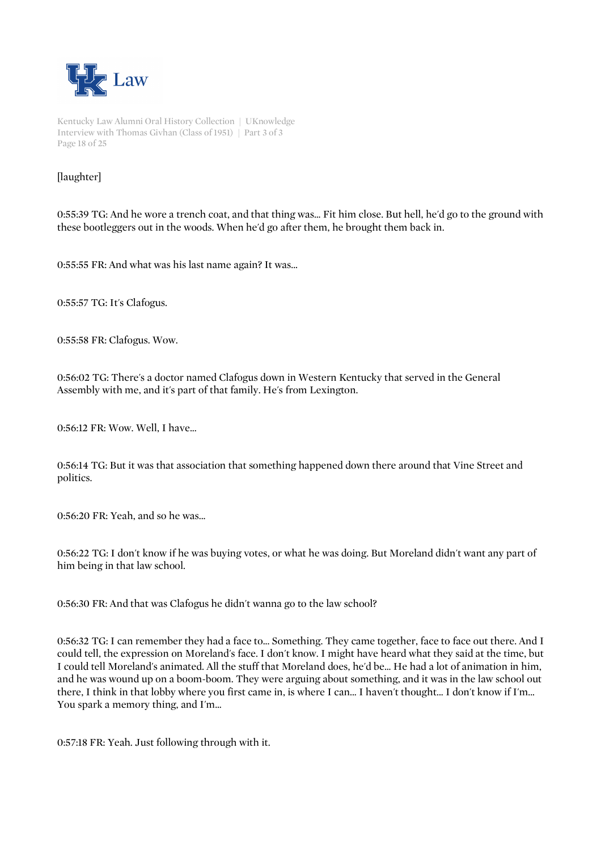

Kentucky Law Alumni Oral History Collection | UKnowledge Interview with Thomas Givhan (Class of 1951) | Part 3 of 3 Page 18 of 25

# [laughter]

0:55:39 TG: And he wore a trench coat, and that thing was... Fit him close. But hell, he'd go to the ground with these bootleggers out in the woods. When he'd go after them, he brought them back in.

0:55:55 FR: And what was his last name again? It was...

0:55:57 TG: It's Clafogus.

0:55:58 FR: Clafogus. Wow.

0:56:02 TG: There's a doctor named Clafogus down in Western Kentucky that served in the General Assembly with me, and it's part of that family. He's from Lexington.

0:56:12 FR: Wow. Well, I have...

0:56:14 TG: But it was that association that something happened down there around that Vine Street and politics.

0:56:20 FR: Yeah, and so he was...

0:56:22 TG: I don't know if he was buying votes, or what he was doing. But Moreland didn't want any part of him being in that law school.

0:56:30 FR: And that was Clafogus he didn't wanna go to the law school?

0:56:32 TG: I can remember they had a face to... Something. They came together, face to face out there. And I could tell, the expression on Moreland's face. I don't know. I might have heard what they said at the time, but I could tell Moreland's animated. All the stuff that Moreland does, he'd be... He had a lot of animation in him, and he was wound up on a boom-boom. They were arguing about something, and it was in the law school out there, I think in that lobby where you first came in, is where I can... I haven't thought... I don't know if I'm... You spark a memory thing, and I'm...

0:57:18 FR: Yeah. Just following through with it.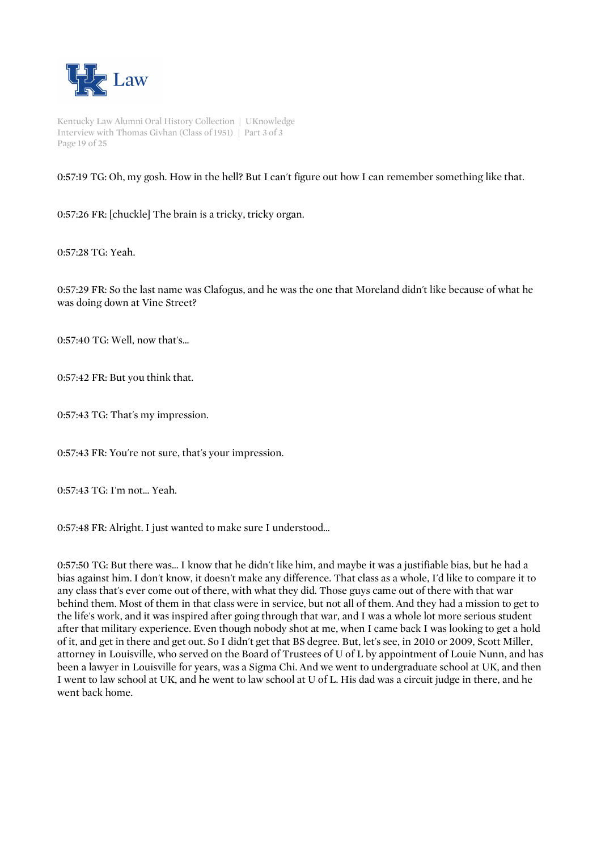

Kentucky Law Alumni Oral History Collection | UKnowledge Interview with Thomas Givhan (Class of 1951) | Part 3 of 3 Page 19 of 25

0:57:19 TG: Oh, my gosh. How in the hell? But I can't figure out how I can remember something like that.

0:57:26 FR: [chuckle] The brain is a tricky, tricky organ.

0:57:28 TG: Yeah.

0:57:29 FR: So the last name was Clafogus, and he was the one that Moreland didn't like because of what he was doing down at Vine Street?

0:57:40 TG: Well, now that's...

0:57:42 FR: But you think that.

0:57:43 TG: That's my impression.

0:57:43 FR: You're not sure, that's your impression.

0:57:43 TG: I'm not... Yeah.

0:57:48 FR: Alright. I just wanted to make sure I understood...

0:57:50 TG: But there was... I know that he didn't like him, and maybe it was a justifiable bias, but he had a bias against him. I don't know, it doesn't make any difference. That class as a whole, I'd like to compare it to any class that's ever come out of there, with what they did. Those guys came out of there with that war behind them. Most of them in that class were in service, but not all of them. And they had a mission to get to the life's work, and it was inspired after going through that war, and I was a whole lot more serious student after that military experience. Even though nobody shot at me, when I came back I was looking to get a hold of it, and get in there and get out. So I didn't get that BS degree. But, let's see, in 2010 or 2009, Scott Miller, attorney in Louisville, who served on the Board of Trustees of U of L by appointment of Louie Nunn, and has been a lawyer in Louisville for years, was a Sigma Chi. And we went to undergraduate school at UK, and then I went to law school at UK, and he went to law school at U of L. His dad was a circuit judge in there, and he went back home.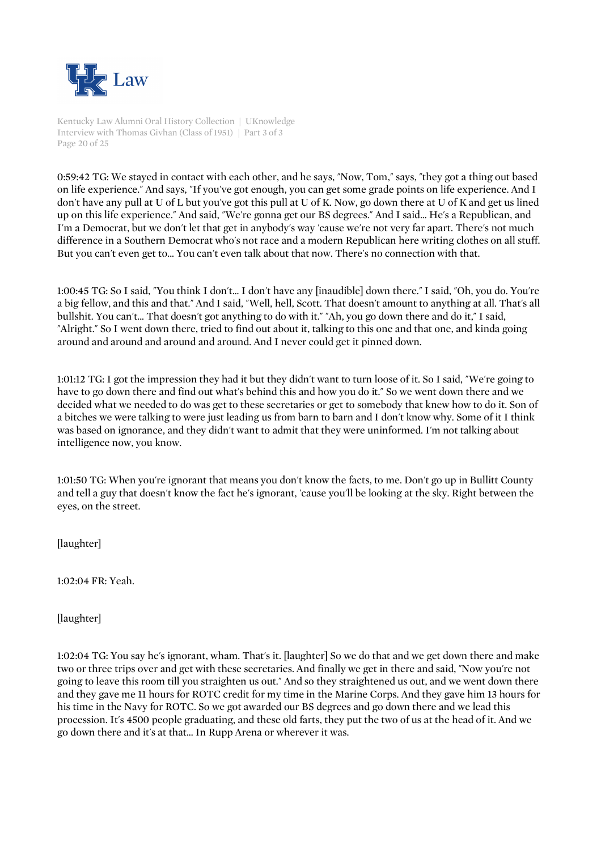

Kentucky Law Alumni Oral History Collection | UKnowledge Interview with Thomas Givhan (Class of 1951) | Part 3 of 3 Page 20 of 25

0:59:42 TG: We stayed in contact with each other, and he says, "Now, Tom," says, "they got a thing out based on life experience." And says, "If you've got enough, you can get some grade points on life experience. And I don't have any pull at U of L but you've got this pull at U of K. Now, go down there at U of K and get us lined up on this life experience." And said, "We're gonna get our BS degrees." And I said... He's a Republican, and I'm a Democrat, but we don't let that get in anybody's way 'cause we're not very far apart. There's not much difference in a Southern Democrat who's not race and a modern Republican here writing clothes on all stuff. But you can't even get to... You can't even talk about that now. There's no connection with that.

1:00:45 TG: So I said, "You think I don't... I don't have any [inaudible] down there." I said, "Oh, you do. You're a big fellow, and this and that." And I said, "Well, hell, Scott. That doesn't amount to anything at all. That's all bullshit. You can't... That doesn't got anything to do with it." "Ah, you go down there and do it," I said, "Alright." So I went down there, tried to find out about it, talking to this one and that one, and kinda going around and around and around and around. And I never could get it pinned down.

1:01:12 TG: I got the impression they had it but they didn't want to turn loose of it. So I said, "We're going to have to go down there and find out what's behind this and how you do it." So we went down there and we decided what we needed to do was get to these secretaries or get to somebody that knew how to do it. Son of a bitches we were talking to were just leading us from barn to barn and I don't know why. Some of it I think was based on ignorance, and they didn't want to admit that they were uninformed. I'm not talking about intelligence now, you know.

1:01:50 TG: When you're ignorant that means you don't know the facts, to me. Don't go up in Bullitt County and tell a guy that doesn't know the fact he's ignorant, 'cause you'll be looking at the sky. Right between the eyes, on the street.

[laughter]

1:02:04 FR: Yeah.

[laughter]

1:02:04 TG: You say he's ignorant, wham. That's it. [laughter] So we do that and we get down there and make two or three trips over and get with these secretaries. And finally we get in there and said, "Now you're not going to leave this room till you straighten us out." And so they straightened us out, and we went down there and they gave me 11 hours for ROTC credit for my time in the Marine Corps. And they gave him 13 hours for his time in the Navy for ROTC. So we got awarded our BS degrees and go down there and we lead this procession. It's 4500 people graduating, and these old farts, they put the two of us at the head of it. And we go down there and it's at that... In Rupp Arena or wherever it was.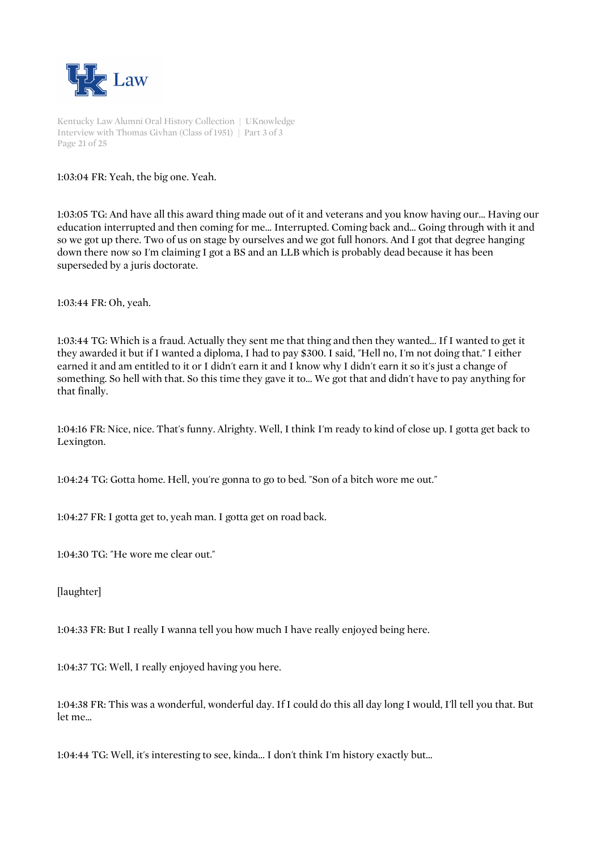

Kentucky Law Alumni Oral History Collection | UKnowledge Interview with Thomas Givhan (Class of 1951) | Part 3 of 3 Page 21 of 25

1:03:04 FR: Yeah, the big one. Yeah.

1:03:05 TG: And have all this award thing made out of it and veterans and you know having our... Having our education interrupted and then coming for me... Interrupted. Coming back and... Going through with it and so we got up there. Two of us on stage by ourselves and we got full honors. And I got that degree hanging down there now so I'm claiming I got a BS and an LLB which is probably dead because it has been superseded by a juris doctorate.

1:03:44 FR: Oh, yeah.

1:03:44 TG: Which is a fraud. Actually they sent me that thing and then they wanted... If I wanted to get it they awarded it but if I wanted a diploma, I had to pay \$300. I said, "Hell no, I'm not doing that." I either earned it and am entitled to it or I didn't earn it and I know why I didn't earn it so it's just a change of something. So hell with that. So this time they gave it to... We got that and didn't have to pay anything for that finally.

1:04:16 FR: Nice, nice. That's funny. Alrighty. Well, I think I'm ready to kind of close up. I gotta get back to Lexington.

1:04:24 TG: Gotta home. Hell, you're gonna to go to bed. "Son of a bitch wore me out."

1:04:27 FR: I gotta get to, yeah man. I gotta get on road back.

1:04:30 TG: "He wore me clear out."

[laughter]

1:04:33 FR: But I really I wanna tell you how much I have really enjoyed being here.

1:04:37 TG: Well, I really enjoyed having you here.

1:04:38 FR: This was a wonderful, wonderful day. If I could do this all day long I would, I'll tell you that. But let me...

1:04:44 TG: Well, it's interesting to see, kinda... I don't think I'm history exactly but...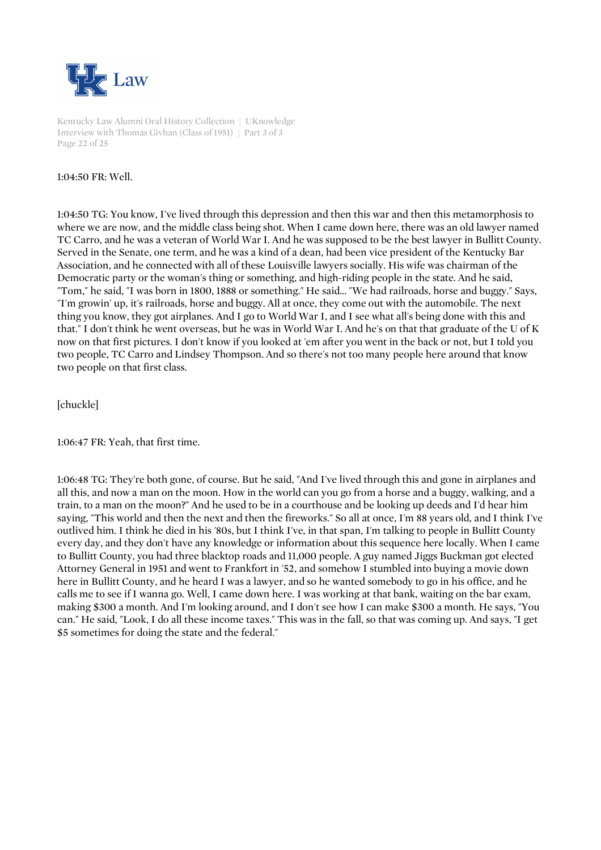

Kentucky Law Alumni Oral History Collection | UKnowledge Interview with Thomas Givhan (Class of 1951) | Part 3 of 3 Page 22 of 25

### 1:04:50 FR: Well.

1:04:50 TG: You know, I've lived through this depression and then this war and then this metamorphosis to where we are now, and the middle class being shot. When I came down here, there was an old lawyer named TC Carro, and he was a veteran of World War I. And he was supposed to be the best lawyer in Bullitt County. Served in the Senate, one term, and he was a kind of a dean, had been vice president of the Kentucky Bar Association, and he connected with all of these Louisville lawyers socially. His wife was chairman of the Democratic party or the woman's thing or something, and high-riding people in the state. And he said, "Tom," he said, "I was born in 1800, 1888 or something." He said... "We had railroads, horse and buggy." Says, "I'm growin' up, it's railroads, horse and buggy. All at once, they come out with the automobile. The next thing you know, they got airplanes. And I go to World War I, and I see what all's being done with this and that." I don't think he went overseas, but he was in World War I. And he's on that that graduate of the U of K now on that first pictures. I don't know if you looked at 'em after you went in the back or not, but I told you two people, TC Carro and Lindsey Thompson. And so there's not too many people here around that know two people on that first class.

[chuckle]

1:06:47 FR: Yeah, that first time.

1:06:48 TG: They're both gone, of course. But he said, "And I've lived through this and gone in airplanes and all this, and now a man on the moon. How in the world can you go from a horse and a buggy, walking, and a train, to a man on the moon?" And he used to be in a courthouse and be looking up deeds and I'd hear him saying, "This world and then the next and then the fireworks." So all at once, I'm 88 years old, and I think I've outlived him. I think he died in his '80s, but I think I've, in that span, I'm talking to people in Bullitt County every day, and they don't have any knowledge or information about this sequence here locally. When I came to Bullitt County, you had three blacktop roads and 11,000 people. A guy named Jiggs Buckman got elected Attorney General in 1951 and went to Frankfort in '52, and somehow I stumbled into buying a movie down here in Bullitt County, and he heard I was a lawyer, and so he wanted somebody to go in his office, and he calls me to see if I wanna go. Well, I came down here. I was working at that bank, waiting on the bar exam, making \$300 a month. And I'm looking around, and I don't see how I can make \$300 a month. He says, "You can." He said, "Look, I do all these income taxes." This was in the fall, so that was coming up. And says, "I get \$5 sometimes for doing the state and the federal."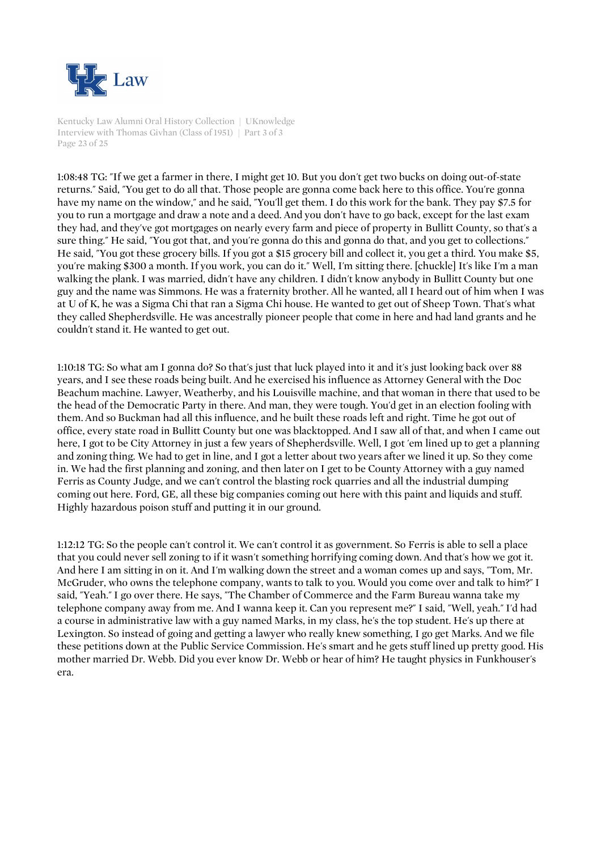

Kentucky Law Alumni Oral History Collection | UKnowledge Interview with Thomas Givhan (Class of 1951) | Part 3 of 3 Page 23 of 25

1:08:48 TG: "If we get a farmer in there, I might get 10. But you don't get two bucks on doing out-of-state returns." Said, "You get to do all that. Those people are gonna come back here to this office. You're gonna have my name on the window," and he said, "You'll get them. I do this work for the bank. They pay \$7.5 for you to run a mortgage and draw a note and a deed. And you don't have to go back, except for the last exam they had, and they've got mortgages on nearly every farm and piece of property in Bullitt County, so that's a sure thing." He said, "You got that, and you're gonna do this and gonna do that, and you get to collections." He said, "You got these grocery bills. If you got a \$15 grocery bill and collect it, you get a third. You make \$5, you're making \$300 a month. If you work, you can do it." Well, I'm sitting there. [chuckle] It's like I'm a man walking the plank. I was married, didn't have any children. I didn't know anybody in Bullitt County but one guy and the name was Simmons. He was a fraternity brother. All he wanted, all I heard out of him when I was at U of K, he was a Sigma Chi that ran a Sigma Chi house. He wanted to get out of Sheep Town. That's what they called Shepherdsville. He was ancestrally pioneer people that come in here and had land grants and he couldn't stand it. He wanted to get out.

1:10:18 TG: So what am I gonna do? So that's just that luck played into it and it's just looking back over 88 years, and I see these roads being built. And he exercised his influence as Attorney General with the Doc Beachum machine. Lawyer, Weatherby, and his Louisville machine, and that woman in there that used to be the head of the Democratic Party in there. And man, they were tough. You'd get in an election fooling with them. And so Buckman had all this influence, and he built these roads left and right. Time he got out of office, every state road in Bullitt County but one was blacktopped. And I saw all of that, and when I came out here, I got to be City Attorney in just a few years of Shepherdsville. Well, I got 'em lined up to get a planning and zoning thing. We had to get in line, and I got a letter about two years after we lined it up. So they come in. We had the first planning and zoning, and then later on I get to be County Attorney with a guy named Ferris as County Judge, and we can't control the blasting rock quarries and all the industrial dumping coming out here. Ford, GE, all these big companies coming out here with this paint and liquids and stuff. Highly hazardous poison stuff and putting it in our ground.

1:12:12 TG: So the people can't control it. We can't control it as government. So Ferris is able to sell a place that you could never sell zoning to if it wasn't something horrifying coming down. And that's how we got it. And here I am sitting in on it. And I'm walking down the street and a woman comes up and says, "Tom, Mr. McGruder, who owns the telephone company, wants to talk to you. Would you come over and talk to him?" I said, "Yeah." I go over there. He says, "The Chamber of Commerce and the Farm Bureau wanna take my telephone company away from me. And I wanna keep it. Can you represent me?" I said, "Well, yeah." I'd had a course in administrative law with a guy named Marks, in my class, he's the top student. He's up there at Lexington. So instead of going and getting a lawyer who really knew something, I go get Marks. And we file these petitions down at the Public Service Commission. He's smart and he gets stuff lined up pretty good. His mother married Dr. Webb. Did you ever know Dr. Webb or hear of him? He taught physics in Funkhouser's era.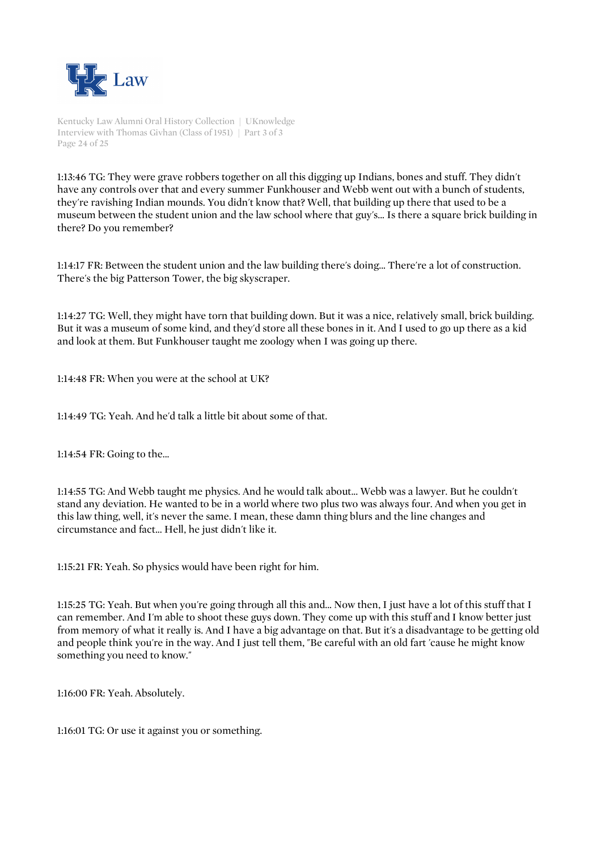

Kentucky Law Alumni Oral History Collection | UKnowledge Interview with Thomas Givhan (Class of 1951) | Part 3 of 3 Page 24 of 25

1:13:46 TG: They were grave robbers together on all this digging up Indians, bones and stuff. They didn't have any controls over that and every summer Funkhouser and Webb went out with a bunch of students, they're ravishing Indian mounds. You didn't know that? Well, that building up there that used to be a museum between the student union and the law school where that guy's... Is there a square brick building in there? Do you remember?

1:14:17 FR: Between the student union and the law building there's doing... There're a lot of construction. There's the big Patterson Tower, the big skyscraper.

1:14:27 TG: Well, they might have torn that building down. But it was a nice, relatively small, brick building. But it was a museum of some kind, and they'd store all these bones in it. And I used to go up there as a kid and look at them. But Funkhouser taught me zoology when I was going up there.

1:14:48 FR: When you were at the school at UK?

1:14:49 TG: Yeah. And he'd talk a little bit about some of that.

1:14:54 FR: Going to the...

1:14:55 TG: And Webb taught me physics. And he would talk about... Webb was a lawyer. But he couldn't stand any deviation. He wanted to be in a world where two plus two was always four. And when you get in this law thing, well, it's never the same. I mean, these damn thing blurs and the line changes and circumstance and fact... Hell, he just didn't like it.

1:15:21 FR: Yeah. So physics would have been right for him.

1:15:25 TG: Yeah. But when you're going through all this and... Now then, I just have a lot of this stuff that I can remember. And I'm able to shoot these guys down. They come up with this stuff and I know better just from memory of what it really is. And I have a big advantage on that. But it's a disadvantage to be getting old and people think you're in the way. And I just tell them, "Be careful with an old fart 'cause he might know something you need to know."

1:16:00 FR: Yeah. Absolutely.

1:16:01 TG: Or use it against you or something.